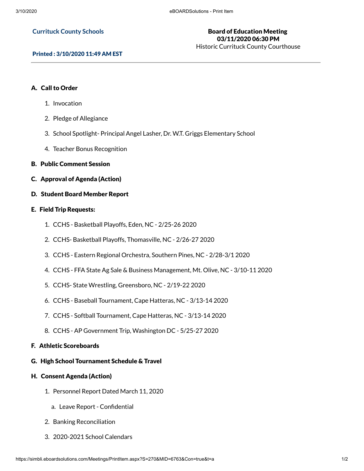#### **Currituck County Schools**

# Board of Education Meeting 03/11/2020 06:30 PM

Historic Currituck County Courthouse

### Printed : 3/10/2020 11:49 AM EST

## A. Call to Order

- 1. Invocation
- 2. Pledge of Allegiance
- 3. School Spotlight- Principal Angel Lasher, Dr. W.T. Griggs Elementary School
- 4. Teacher Bonus Recognition
- B. Public Comment Session
- C. Approval of Agenda (Action)
- D. Student Board Member Report

## E. Field Trip Requests:

- 1. CCHS Basketball Playoffs, Eden, NC 2/25-26 2020
- 2. CCHS- Basketball Playoffs, Thomasville, NC 2/26-27 2020
- 3. CCHS Eastern Regional Orchestra, Southern Pines, NC 2/28-3/1 2020
- 4. CCHS FFA State Ag Sale & Business Management, Mt. Olive, NC 3/10-11 2020
- 5. CCHS- State Wrestling, Greensboro, NC 2/19-22 2020
- 6. CCHS Baseball Tournament, Cape Hatteras, NC 3/13-14 2020
- 7. CCHS Softball Tournament, Cape Hatteras, NC 3/13-14 2020
- 8. CCHS AP Government Trip, Washington DC 5/25-27 2020

## F. Athletic Scoreboards

G. High School Tournament Schedule & Travel

### H. Consent Agenda (Action)

- 1. Personnel Report Dated March 11, 2020
	- a. Leave Report Confidential
- 2. Banking Reconciliation
- 3. 2020-2021 School Calendars